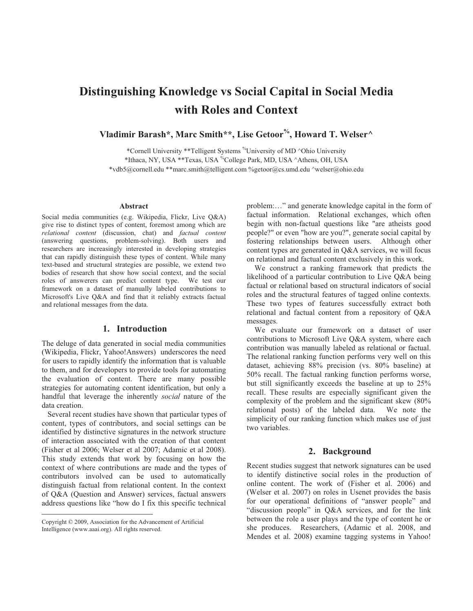# **Distinguishing Knowledge vs Social Capital in Social Media with Roles and Context**

**Vladimir Barash\*, Marc Smith\*\*, Lise Getoor%, Howard T. Welser^** 

\*Cornell University \*\*Telligent Systems %University of MD ^Ohio University \*Ithaca, NY, USA \*\*Texas, USA %College Park, MD, USA ^Athens, OH, USA \*vdb5@cornell.edu \*\*marc.smith@telligent.com %getoor@cs.umd.edu ^welser@ohio.edu

#### **Abstract**

Social media communities (e.g. Wikipedia, Flickr, Live Q&A) give rise to distinct types of content, foremost among which are *relational content* (discussion, chat) and *factual content*  (answering questions, problem-solving). Both users and researchers are increasingly interested in developing strategies that can rapidly distinguish these types of content. While many text-based and structural strategies are possible, we extend two bodies of research that show how social context, and the social roles of answerers can predict content type. We test our framework on a dataset of manually labeled contributions to Microsoft's Live Q&A and find that it reliably extracts factual and relational messages from the data.

#### **1. Introduction**

The deluge of data generated in social media communities (Wikipedia, Flickr, Yahoo!Answers) underscores the need for users to rapidly identify the information that is valuable to them, and for developers to provide tools for automating the evaluation of content. There are many possible strategies for automating content identification, but only a handful that leverage the inherently *social* nature of the data creation.

 Several recent studies have shown that particular types of content, types of contributors, and social settings can be identified by distinctive signatures in the network structure of interaction associated with the creation of that content (Fisher et al 2006; Welser et al 2007; Adamic et al 2008). This study extends that work by focusing on how the context of where contributions are made and the types of contributors involved can be used to automatically distinguish factual from relational content. In the context of Q&A (Question and Answer) services, factual answers address questions like "how do I fix this specific technical

 $\overline{a}$ 

problem:…" and generate knowledge capital in the form of factual information. Relational exchanges, which often begin with non-factual questions like "are atheists good people?" or even "how are you?", generate social capital by fostering relationships between users. Although other content types are generated in Q&A services, we will focus on relational and factual content exclusively in this work.

We construct a ranking framework that predicts the likelihood of a particular contribution to Live Q&A being factual or relational based on structural indicators of social roles and the structural features of tagged online contexts. These two types of features successfully extract both relational and factual content from a repository of Q&A messages.

 We evaluate our framework on a dataset of user contributions to Microsoft Live Q&A system, where each contribution was manually labeled as relational or factual. The relational ranking function performs very well on this dataset, achieving 88% precision (vs. 80% baseline) at 50% recall. The factual ranking function performs worse, but still significantly exceeds the baseline at up to 25% recall. These results are especially significant given the complexity of the problem and the significant skew (80% relational posts) of the labeled data. We note the simplicity of our ranking function which makes use of just two variables.

## **2. Background**

Recent studies suggest that network signatures can be used to identify distinctive social roles in the production of online content. The work of (Fisher et al. 2006) and (Welser et al. 2007) on roles in Usenet provides the basis for our operational definitions of "answer people" and "discussion people" in Q&A services, and for the link between the role a user plays and the type of content he or she produces. Researchers, (Adamic et al. 2008, and Mendes et al. 2008) examine tagging systems in Yahoo!

Copyright © 2009, Association for the Advancement of Artificial Intelligence (www.aaai.org). All rights reserved.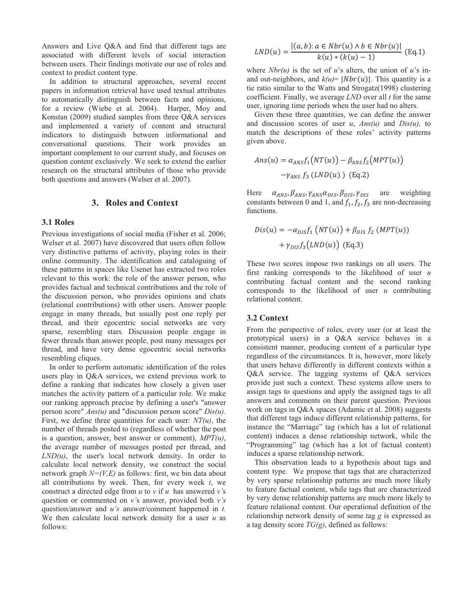Answers and Live Q&A and find that different tags are associated with different levels of social interaction between users. Their findings motivate our use of roles and context to predict content type.

In addition to structural approaches, several recent papers in information retrieval have used textual attributes to automatically distinguish between facts and opinions, for a review (Wiebe et al. 2004). Harper, Moy and Konstan (2009) studied samples from three Q&A services and implemented a variety of content and structural indicators to distinguish between informational and conversational questions. Their work provides an important complement to our current study, and focuses on question content exclusively. We seek to extend the earlier research on the structural attributes of those who provide both questions and answers (Welser et al. 2007).

# **3. Roles and Context**

## **3.1 Roles**

Previous investigations of social media (Fisher et al. 2006; Welser et al. 2007) have discovered that users often follow very distinctive patterns of activity, playing roles in their online community. The identification and cataloguing of these patterns in spaces like Usenet has extracted two roles relevant to this work: the role of the answer person, who provides factual and technical contributions and the role of the discussion person, who provides opinions and chats (relational contributions) with other users. Answer people engage in many threads, but usually post one reply per thread, and their egocentric social networks are very sparse, resembling stars. Discussion people engage in fewer threads than answer people, post many messages per thread, and have very dense egocentric social networks resembling cliques.

In order to perform automatic identification of the roles users play in Q&A services, we extend previous work to define a ranking that indicates how closely a given user matches the activity pattern of a particular role. We make our ranking approach precise by defining a user's "answer person score" *Ans(u)* and "discussion person score" *Dis(u)*. First, we define three quantities for each user:  $NT(u)$ , the number of threads posted to (regardless of whether the post is a question, answer, best answer or comment), *MPT(u)*, the average number of messages posted per thread, and *LND(u)*, the user's local network density. In order to calculate local network density, we construct the social network graph *N=(V,E)* as follows: first, we bin data about all contributions by week. Then, for every week *t*, we construct a directed edge from  $u$  to  $v$  if  $u$  has answered  $v$ 's question or commented on *v'*s answer, provided both *v's*  question/answer and *u's* answer/comment happened in *t.*  We then calculate local network density for a user *u* as follows:

$$
LND(u) = \frac{|(a, b): a \in Nbr(u) \land b \in Nbr(u)|}{k(u) * (k(u) - 1)}
$$
 (Eq.1)

where  $Nbr(u)$  is the set of *u*'s alters, the union of *u*'s inand out-neighbors, and  $k(u)$  | Nbr(u)|. This quantity is a tie ratio similar to the Watts and Strogatz(1998) clustering coefficient. Finally, we average *LND* over all *t* for the same user, ignoring time periods when the user had no alters.

Given these three quantities, we can define the answer and discussion scores of user *u*, *Ans(u)* and *Dis(u),* to match the descriptions of these roles' activity patterns given above.

$$
Ans(u) = \alpha_{ANS} f_1 (NT(u)) - \beta_{ANS} f_2 (MPT(u))
$$

$$
-\gamma_{ANS} f_3 (LND(u)) (Eq.2)
$$

 $\alpha_{ANS}, \beta_{ANS}, \gamma_{ANS}\alpha_{DIS}, \beta_{DIS}, \gamma_{DIS}$  are weighting constants between 0 and 1, and  $f_1, f_2, f_3$  are non-decreasing functions.

$$
Dis(u) = -\alpha_{DIS} f_1 \left( NT(u) \right) + \beta_{DIS} f_2 \left( MPT(u) \right)
$$

$$
+ \gamma_{DIS} f_3 \left( LND(u) \right) \left( Eq. 3 \right)
$$

These two scores impose two rankings on all users. The first ranking corresponds to the likelihood of user *u* contributing factual content and the second ranking corresponds to the likelihood of user *u* contributing relational content.

## **3.2 Context**

From the perspective of roles, every user (or at least the prototypical users) in a Q&A service behaves in a consistent manner, producing content of a particular type regardless of the circumstances. It is, however, more likely that users behave differently in different contexts within a Q&A service. The tagging systems of Q&A services provide just such a context. These systems allow users to assign tags to questions and apply the assigned tags to all answers and comments on their parent question. Previous work on tags in Q&A spaces (Adamic et al. 2008) suggests that different tags induce different relationship patterns, for instance the "Marriage" tag (which has a lot of relational content) induces a dense relationship network, while the "Programming" tag (which has a lot of factual content) induces a sparse relationship network.

This observation leads to a hypothesis about tags and content type. We propose that tags that are characterized by very sparse relationship patterns are much more likely to feature factual content, while tags that are characterized by very dense relationship patterns are much more likely to feature relational content. Our operational definition of the relationship network density of some tag *g* is expressed as a tag density score *TG(g)*, defined as follows: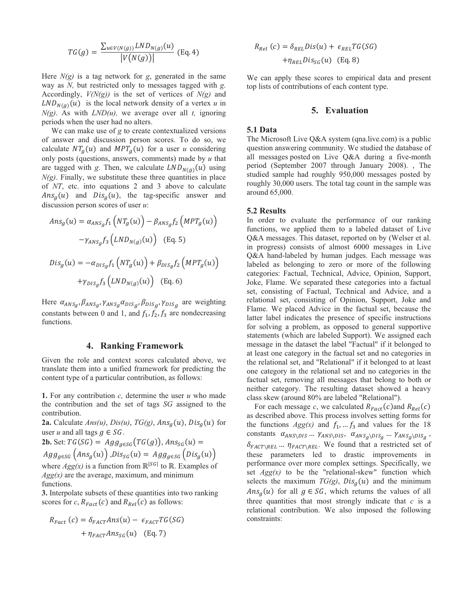$$
TG(g) = \frac{\sum_{u \in V(N(g))} LND_{N(g)}(u)}{|V(N(g))|} \text{ (Eq. 4)}
$$

Here  $N(g)$  is a tag network for  $g$ , generated in the same way as *N,* but restricted only to messages tagged with *g*. Accordingly, *V(N(g))* is the set of vertices of *N(g)* and  $LND_{N(q)}(u)$  is the local network density of a vertex *u* in *N(g)*. As with *LND(u),* we average over all *t,* ignoring periods when the user had no alters.

We can make use of *g* to create contextualized versions of answer and discussion person scores. To do so, we calculate  $NT_a(u)$  and  $MPT_a(u)$  for a user *u* considering only posts (questions, answers, comments) made by *u* that are tagged with g. Then, we calculate  $LND_{N(q)}(u)$  using  $N(g)$ . Finally, we substitute these three quantities in place of *NT*, etc. into equations 2 and 3 above to calculate  $Ans<sub>q</sub>(u)$  and  $Dis<sub>q</sub>(u)$ , the tag-specific answer and discussion person scores of user *u*:

$$
Ans_g(u) = \alpha_{ANSg} f_1 \left( NT_g(u) \right) - \beta_{ANSg} f_2 \left( MPT_g(u) \right)
$$

$$
-\gamma_{ANS_g} f_3 \left( LND_{N(g)}(u) \right) \quad (\text{Eq. 5})
$$

$$
Dis_g(u) = -\alpha_{DIS_g} f_1 \left( NT_g(u) \right) + \beta_{DIS_g} f_2 \left( MPT_g(u) \right)
$$

$$
+\gamma_{DIS_g} f_3 \left( LND_{N(g)}(u) \right) \quad (\text{Eq. 6})
$$

Here  $\alpha_{ANS_{g}}, \beta_{ANS_{g}}, \gamma_{ANS_{g}} \alpha_{DIS_{g}}, \beta_{DIS_{g}}, \gamma_{DIS_{g}}$  are weighting constants between 0 and 1, and  $f_1, f_2, f_3$  are nondecreasing functions.

## **4. Ranking Framework**

Given the role and context scores calculated above, we translate them into a unified framework for predicting the content type of a particular contribution, as follows:

**1.** For any contribution *c,* determine the user *u* who made the contribution and the set of tags *SG* assigned to the contribution.

**2a.** Calculate  $Ans(u)$ ,  $Dis(u)$ ,  $TG(g)$ ,  $Ans_a(u)$ ,  $Dis_a(u)$  for user *u* and all tags  $g \in SG$ .

**2b.** Set: 
$$
TG(SG) = Agg_{g \in SG}(TG(g))
$$
,  $Ans_{SG}(u) =$ 

 $Agg_{g\in SG}(Ans_g(u))$ ,  $Dis_{SG}(u) = Agg_{g\in SG}(Dis_g(u))$ where  $Agg(x)$  is a function from  $\mathbb{R}^{|SG|}$  to  $\mathbb{R}$ . Examples of *Agg(x)* are the average, maximum, and minimum

**3.** Interpolate subsets of these quantities into two ranking scores for *c*,  $R_{Fact}(c)$  and  $R_{Rel}(c)$  as follows:

$$
R_{Fact}(c) = \delta_{FACT} Ans(u) - \epsilon_{FACT} TG(SG)
$$

$$
+ \eta_{FACT} Ans_{SG}(u) \quad (\text{Eq. 7})
$$

functions.

$$
R_{Rel}(c) = \delta_{REL}Dis(u) + \epsilon_{REL}TG(SG)
$$

$$
+ \eta_{REL}Dis_{SG}(u) \quad (\text{Eq. 8})
$$

We can apply these scores to empirical data and present top lists of contributions of each content type.

# **5. Evaluation**

#### **5.1 Data**

The Microsoft Live Q&A system (qna.live.com) is a public question answering community. We studied the database of all messages posted on Live Q&A during a five-month period (September 2007 through January 2008). , The studied sample had roughly 950,000 messages posted by roughly 30,000 users. The total tag count in the sample was around 65,000.

#### **5.2 Results**

In order to evaluate the performance of our ranking functions, we applied them to a labeled dataset of Live Q&A messages. This dataset, reported on by (Welser et al. in progress) consists of almost 6000 messages in Live Q&A hand-labeled by human judges. Each message was labeled as belonging to zero or more of the following categories: Factual, Technical, Advice, Opinion, Support, Joke, Flame. We separated these categories into a factual set, consisting of Factual, Technical and Advice, and a relational set, consisting of Opinion, Support, Joke and Flame. We placed Advice in the factual set, because the latter label indicates the presence of specific instructions for solving a problem, as opposed to general supportive statements (which are labeled Support). We assigned each message in the dataset the label "Factual" if it belonged to at least one category in the factual set and no categories in the relational set, and "Relational" if it belonged to at least one category in the relational set and no categories in the factual set, removing all messages that belong to both or neither category. The resulting dataset showed a heavy class skew (around 80% are labeled "Relational").

For each message *c*, we calculated  $R_{Fact}(c)$  and  $R_{Rel}(c)$ as described above. This process involves setting forms for the functions  $Agg(x)$  and  $f_1, \ldots, f_3$  and values for the 18 constants  $\alpha_{ANS\setminus DIS} \dots \gamma_{ANS\setminus DIS}, \alpha_{ANS_g\setminus DIS_g} \dots \gamma_{ANS_g\setminus DIS_g}$ ,  $\delta_{FACT \setminus REL}$  ...  $\eta_{FACT \setminus REL}$ . We found that a restricted set of these parameters led to drastic improvements in performance over more complex settings. Specifically, we set  $Agg(x)$  to be the "relational-skew" function which selects the maximum  $TG(g)$ ,  $Dis<sub>a</sub>(u)$  and the minimum  $Ans<sub>g</sub>(u)$  for all  $g \in SG$ , which returns the values of all three quantities that most strongly indicate that *c* is a relational contribution. We also imposed the following constraints: